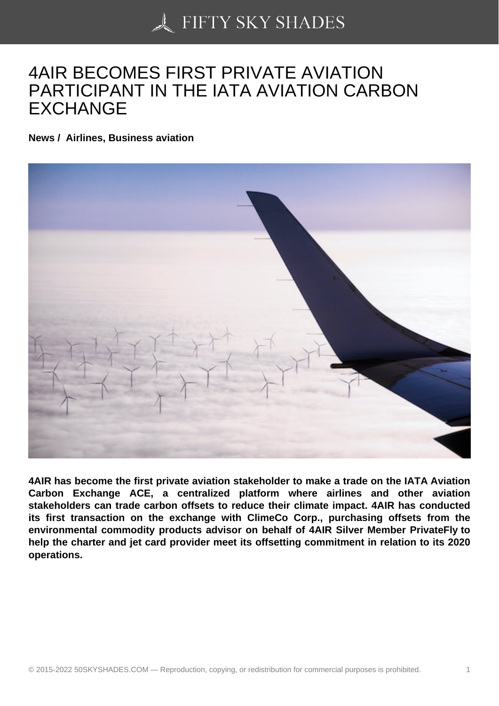## [4AIR BECOMES FIRS](https://50skyshades.com)T PRIVATE AVIATION PARTICIPANT IN THE IATA AVIATION CARBON EXCHANGE

News / Airlines, Business aviation

4AIR has become the first private aviation stakeholder to make a trade on the IATA Aviation Carbon Exchange ACE, a centralized platform where airlines and other aviation stakeholders can trade carbon offsets to reduce their climate impact. 4AIR has conducted its first transaction on the exchange with ClimeCo Corp., purchasing offsets from the environmental commodity products advisor on behalf of 4AIR Silver Member PrivateFly to help the charter and jet card provider meet its offsetting commitment in relation to its 2020 operations.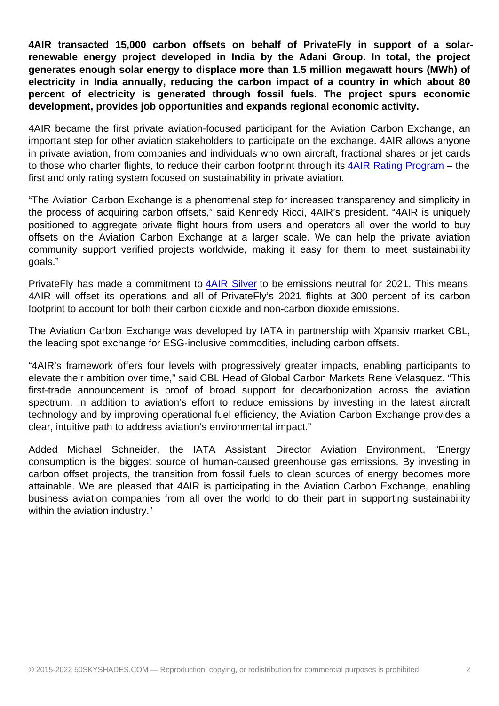4AIR transacted 15,000 carbon offsets on behalf of PrivateFly in support of a solarrenewable energy project developed in India by the Adani Group. In total, the project generates enough solar energy to displace more than 1.5 million megawatt hours (MWh) of electricity in India annually, reducing the carbon impact of a country in which about 80 percent of electricity is generated through fossil fuels. The project spurs economic development, provides job opportunities and expands regional economic activity.

4AIR became the first private aviation-focused participant for the Aviation Carbon Exchange, an important step for other aviation stakeholders to participate on the exchange. 4AIR allows anyone in private aviation, from companies and individuals who own aircraft, fractional shares or jet cards to those who charter flights, to reduce their carbon footprint through its 4AIR Rating Program – the first and only rating system focused on sustainability in private aviation.

"The Aviation Carbon Exchange is a phenomenal step for increased transparency and simplicity in the process of acquiring carbon offsets," said Kennedy Ricci, 4AIR's [president. "4AIR is uni](https://cts.businesswire.com/ct/CT?id=smartlink&url=https://www.4air.aero/ratings-summary&esheet=52389835&newsitemid=20210303005588&lan=en-US&anchor=4AIR+Rating+Program&index=3&md5=3a1138fe97881453c7917ef9017b5b57)quely positioned to aggregate private flight hours from users and operators all over the world to buy offsets on the Aviation Carbon Exchange at a larger scale. We can help the private aviation community support verified projects worldwide, making it easy for them to meet sustainability goals."

PrivateFly has made a commitment to 4AIR Silver to be emissions neutral for 2021. This means 4AIR will offset its operations and all of PrivateFly's 2021 flights at 300 percent of its carbon footprint to account for both their carbon dioxide and non-carbon dioxide emissions.

The Aviation Carbon Exchange was d[eveloped by](https://cts.businesswire.com/ct/CT?id=smartlink&url=https://www.4air.aero/emissions-neutral&esheet=52389835&newsitemid=20210303005588&lan=en-US&anchor=4AIR+Silver&index=4&md5=74a014631265e7a164f15af82968e2cb) IATA in partnership with Xpansiv market CBL, the leading spot exchange for ESG-inclusive commodities, including carbon offsets.

"4AIR's framework offers four levels with progressively greater impacts, enabling participants to elevate their ambition over time," said CBL Head of Global Carbon Markets Rene Velasquez. "This first-trade announcement is proof of broad support for decarbonization across the aviation spectrum. In addition to aviation's effort to reduce emissions by investing in the latest aircraft technology and by improving operational fuel efficiency, the Aviation Carbon Exchange provides a clear, intuitive path to address aviation's environmental impact."

Added Michael Schneider, the IATA Assistant Director Aviation Environment, "Energy consumption is the biggest source of human-caused greenhouse gas emissions. By investing in carbon offset projects, the transition from fossil fuels to clean sources of energy becomes more attainable. We are pleased that 4AIR is participating in the Aviation Carbon Exchange, enabling business aviation companies from all over the world to do their part in supporting sustainability within the aviation industry."